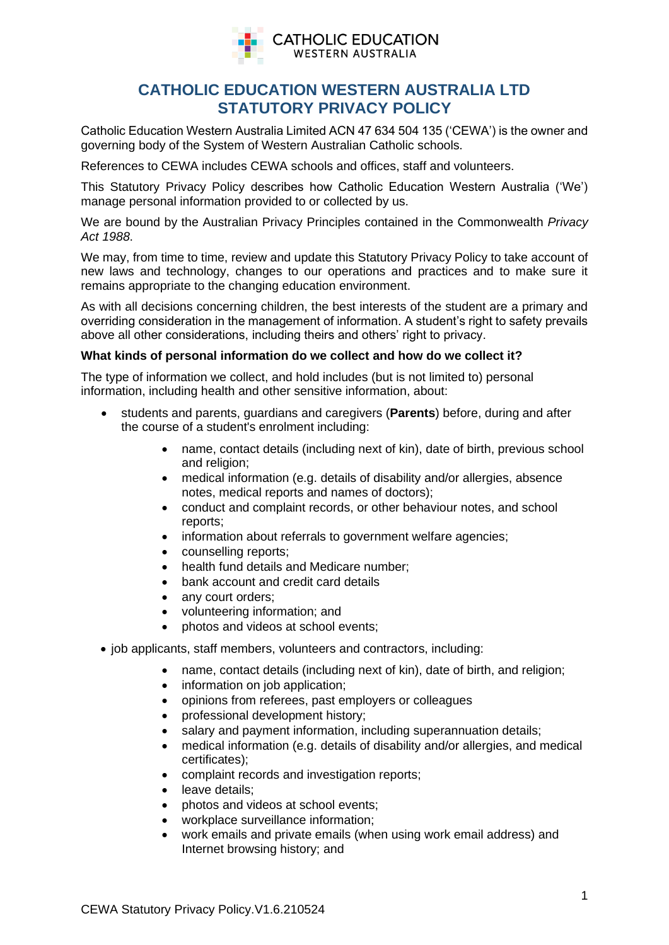

# **CATHOLIC EDUCATION WESTERN AUSTRALIA LTD STATUTORY PRIVACY POLICY**

Catholic Education Western Australia Limited ACN 47 634 504 135 ('CEWA') is the owner and governing body of the System of Western Australian Catholic schools.

References to CEWA includes CEWA schools and offices, staff and volunteers.

This Statutory Privacy Policy describes how Catholic Education Western Australia ('We') manage personal information provided to or collected by us.

We are bound by the Australian Privacy Principles contained in the Commonwealth *Privacy Act 1988*.

We may, from time to time, review and update this Statutory Privacy Policy to take account of new laws and technology, changes to our operations and practices and to make sure it remains appropriate to the changing education environment.

As with all decisions concerning children, the best interests of the student are a primary and overriding consideration in the management of information. A student's right to safety prevails above all other considerations, including theirs and others' right to privacy.

## **What kinds of personal information do we collect and how do we collect it?**

The type of information we collect, and hold includes (but is not limited to) personal information, including health and other sensitive information, about:

- students and parents, guardians and caregivers (**Parents**) before, during and after the course of a student's enrolment including:
	- name, contact details (including next of kin), date of birth, previous school and religion:
	- medical information (e.g. details of disability and/or allergies, absence notes, medical reports and names of doctors);
	- conduct and complaint records, or other behaviour notes, and school reports;
	- information about referrals to government welfare agencies;
	- counselling reports;
	- health fund details and Medicare number:
	- bank account and credit card details
	- any court orders:
	- volunteering information; and
	- photos and videos at school events:
- job applicants, staff members, volunteers and contractors, including:
	- name, contact details (including next of kin), date of birth, and religion;
	- information on job application;
	- opinions from referees, past employers or colleagues
	- professional development history;
	- salary and payment information, including superannuation details;
	- medical information (e.g. details of disability and/or allergies, and medical certificates);
	- complaint records and investigation reports;
	- leave details:
	- photos and videos at school events;
	- workplace surveillance information;
	- work emails and private emails (when using work email address) and Internet browsing history; and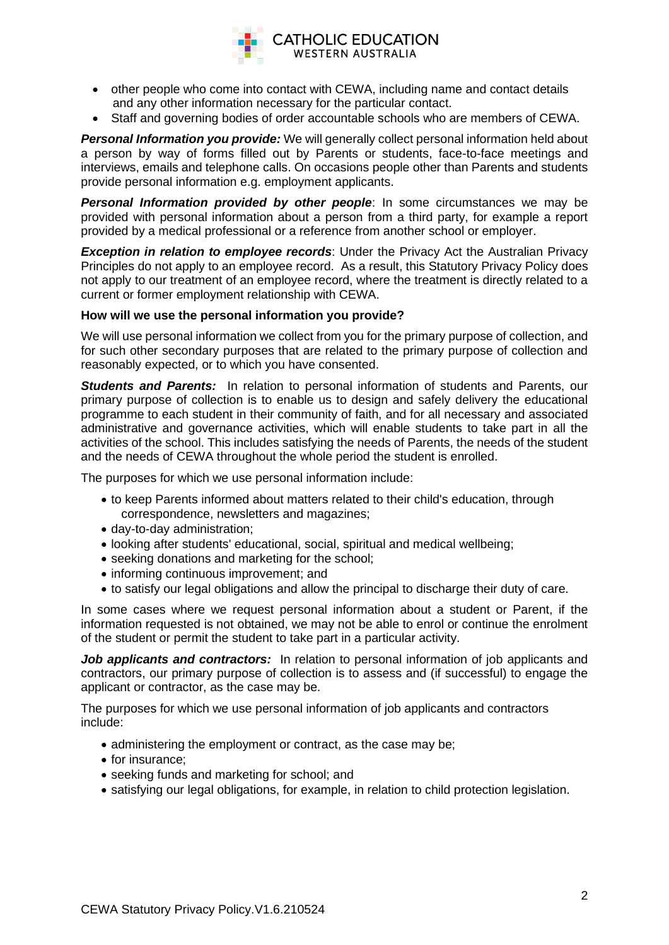

- other people who come into contact with CEWA, including name and contact details and any other information necessary for the particular contact.
- Staff and governing bodies of order accountable schools who are members of CEWA.

*Personal Information you provide:* We will generally collect personal information held about a person by way of forms filled out by Parents or students, face-to-face meetings and interviews, emails and telephone calls. On occasions people other than Parents and students provide personal information e.g. employment applicants.

*Personal Information provided by other people: In some circumstances we may be* provided with personal information about a person from a third party, for example a report provided by a medical professional or a reference from another school or employer.

**Exception in relation to employee records:** Under the Privacy Act the Australian Privacy Principles do not apply to an employee record. As a result, this Statutory Privacy Policy does not apply to our treatment of an employee record, where the treatment is directly related to a current or former employment relationship with CEWA.

## **How will we use the personal information you provide?**

We will use personal information we collect from you for the primary purpose of collection, and for such other secondary purposes that are related to the primary purpose of collection and reasonably expected, or to which you have consented.

**Students and Parents:** In relation to personal information of students and Parents, our primary purpose of collection is to enable us to design and safely delivery the educational programme to each student in their community of faith, and for all necessary and associated administrative and governance activities, which will enable students to take part in all the activities of the school. This includes satisfying the needs of Parents, the needs of the student and the needs of CEWA throughout the whole period the student is enrolled.

The purposes for which we use personal information include:

- to keep Parents informed about matters related to their child's education, through correspondence, newsletters and magazines;
- day-to-day administration;
- looking after students' educational, social, spiritual and medical wellbeing;
- seeking donations and marketing for the school;
- informing continuous improvement; and
- to satisfy our legal obligations and allow the principal to discharge their duty of care.

In some cases where we request personal information about a student or Parent, if the information requested is not obtained, we may not be able to enrol or continue the enrolment of the student or permit the student to take part in a particular activity.

*Job applicants and contractors:* In relation to personal information of iob applicants and contractors, our primary purpose of collection is to assess and (if successful) to engage the applicant or contractor, as the case may be.

The purposes for which we use personal information of job applicants and contractors include:

- administering the employment or contract, as the case may be;
- for insurance:
- seeking funds and marketing for school; and
- satisfying our legal obligations, for example, in relation to child protection legislation.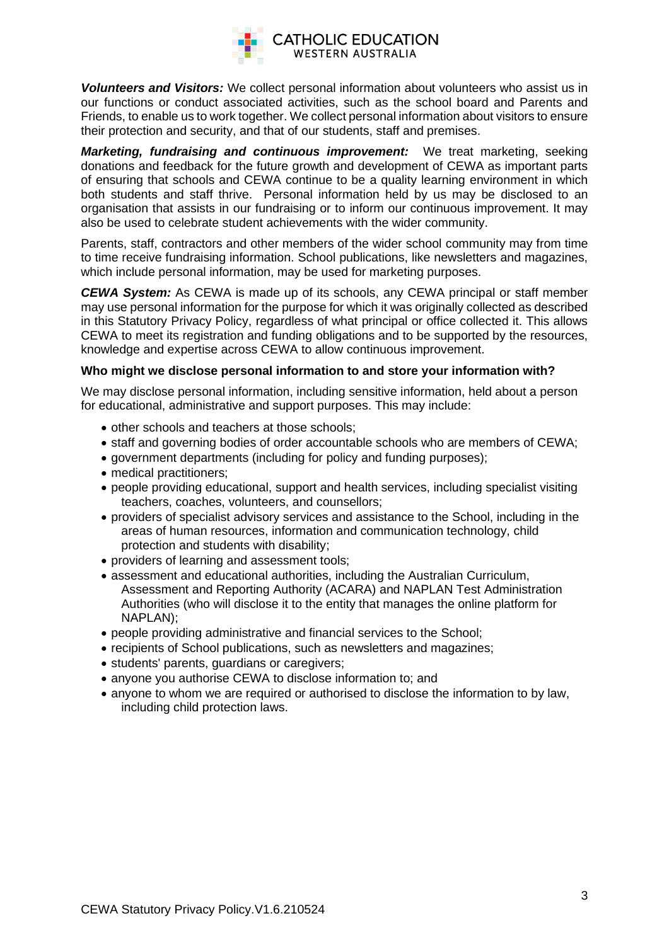

*Volunteers and Visitors:* We collect personal information about volunteers who assist us in our functions or conduct associated activities, such as the school board and Parents and Friends, to enable us to work together. We collect personal information about visitors to ensure their protection and security, and that of our students, staff and premises.

*Marketing, fundraising and continuous improvement:* We treat marketing, seeking donations and feedback for the future growth and development of CEWA as important parts of ensuring that schools and CEWA continue to be a quality learning environment in which both students and staff thrive. Personal information held by us may be disclosed to an organisation that assists in our fundraising or to inform our continuous improvement. It may also be used to celebrate student achievements with the wider community.

Parents, staff, contractors and other members of the wider school community may from time to time receive fundraising information. School publications, like newsletters and magazines, which include personal information, may be used for marketing purposes.

*CEWA System:* As CEWA is made up of its schools, any CEWA principal or staff member may use personal information for the purpose for which it was originally collected as described in this Statutory Privacy Policy, regardless of what principal or office collected it. This allows CEWA to meet its registration and funding obligations and to be supported by the resources, knowledge and expertise across CEWA to allow continuous improvement.

## **Who might we disclose personal information to and store your information with?**

We may disclose personal information, including sensitive information, held about a person for educational, administrative and support purposes. This may include:

- other schools and teachers at those schools;
- staff and governing bodies of order accountable schools who are members of CEWA;
- government departments (including for policy and funding purposes);
- medical practitioners;
- people providing educational, support and health services, including specialist visiting teachers, coaches, volunteers, and counsellors;
- providers of specialist advisory services and assistance to the School, including in the areas of human resources, information and communication technology, child protection and students with disability;
- providers of learning and assessment tools;
- assessment and educational authorities, including the Australian Curriculum, Assessment and Reporting Authority (ACARA) and NAPLAN Test Administration Authorities (who will disclose it to the entity that manages the online platform for NAPLAN);
- people providing administrative and financial services to the School;
- recipients of School publications, such as newsletters and magazines;
- students' parents, guardians or caregivers;
- anyone you authorise CEWA to disclose information to; and
- anyone to whom we are required or authorised to disclose the information to by law, including child protection laws.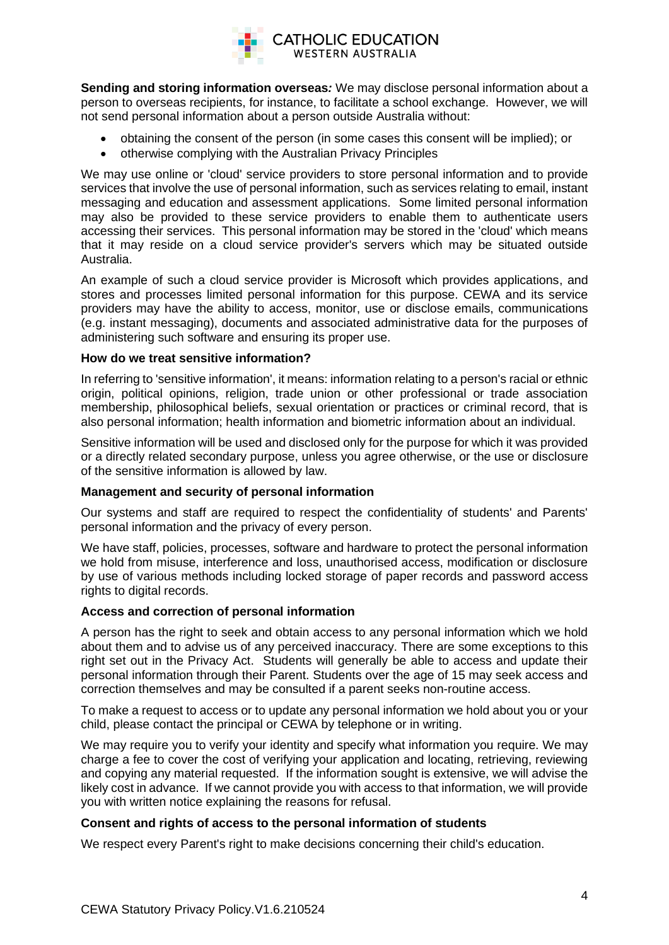

**Sending and storing information overseas***:* We may disclose personal information about a person to overseas recipients, for instance, to facilitate a school exchange. However, we will not send personal information about a person outside Australia without:

- obtaining the consent of the person (in some cases this consent will be implied); or
- otherwise complying with the Australian Privacy Principles

We may use online or 'cloud' service providers to store personal information and to provide services that involve the use of personal information, such as services relating to email, instant messaging and education and assessment applications. Some limited personal information may also be provided to these service providers to enable them to authenticate users accessing their services. This personal information may be stored in the 'cloud' which means that it may reside on a cloud service provider's servers which may be situated outside Australia.

An example of such a cloud service provider is Microsoft which provides applications, and stores and processes limited personal information for this purpose. CEWA and its service providers may have the ability to access, monitor, use or disclose emails, communications (e.g. instant messaging), documents and associated administrative data for the purposes of administering such software and ensuring its proper use.

## **How do we treat sensitive information?**

In referring to 'sensitive information', it means: information relating to a person's racial or ethnic origin, political opinions, religion, trade union or other professional or trade association membership, philosophical beliefs, sexual orientation or practices or criminal record, that is also personal information; health information and biometric information about an individual.

Sensitive information will be used and disclosed only for the purpose for which it was provided or a directly related secondary purpose, unless you agree otherwise, or the use or disclosure of the sensitive information is allowed by law.

#### **Management and security of personal information**

Our systems and staff are required to respect the confidentiality of students' and Parents' personal information and the privacy of every person.

We have staff, policies, processes, software and hardware to protect the personal information we hold from misuse, interference and loss, unauthorised access, modification or disclosure by use of various methods including locked storage of paper records and password access rights to digital records.

#### **Access and correction of personal information**

A person has the right to seek and obtain access to any personal information which we hold about them and to advise us of any perceived inaccuracy. There are some exceptions to this right set out in the Privacy Act. Students will generally be able to access and update their personal information through their Parent. Students over the age of 15 may seek access and correction themselves and may be consulted if a parent seeks non-routine access.

To make a request to access or to update any personal information we hold about you or your child, please contact the principal or CEWA by telephone or in writing.

We may require you to verify your identity and specify what information you require. We may charge a fee to cover the cost of verifying your application and locating, retrieving, reviewing and copying any material requested. If the information sought is extensive, we will advise the likely cost in advance. If we cannot provide you with access to that information, we will provide you with written notice explaining the reasons for refusal.

#### **Consent and rights of access to the personal information of students**

We respect every Parent's right to make decisions concerning their child's education.